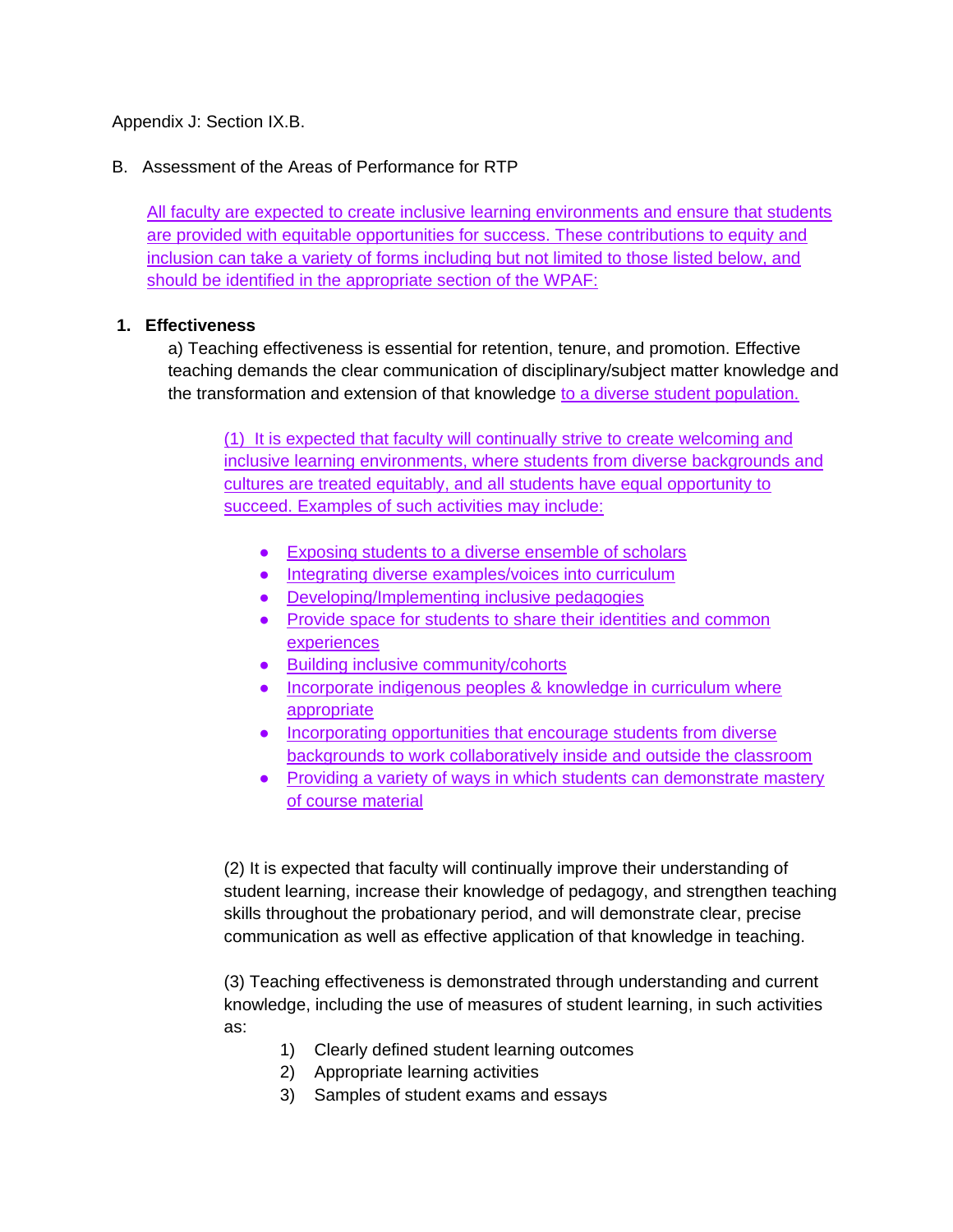Appendix J: Section IX.B.

B. Assessment of the Areas of Performance for RTP

All faculty are expected to create inclusive learning environments and ensure that students are provided with equitable opportunities for success. These contributions to equity and inclusion can take a variety of forms including but not limited to those listed below, and should be identified in the appropriate section of the WPAF:

## **1. Effectiveness**

a) Teaching effectiveness is essential for retention, tenure, and promotion. Effective teaching demands the clear communication of disciplinary/subject matter knowledge and the transformation and extension of that knowledge to a diverse student population.

(1) It is expected that faculty will continually strive to create welcoming and inclusive learning environments, where students from diverse backgrounds and cultures are treated equitably, and all students have equal opportunity to succeed. Examples of such activities may include:

- Exposing students to a diverse ensemble of scholars
- Integrating diverse examples/voices into curriculum
- Developing/Implementing inclusive pedagogies
- Provide space for students to share their identities and common experiences
- Building inclusive community/cohorts
- Incorporate indigenous peoples & knowledge in curriculum where appropriate
- Incorporating opportunities that encourage students from diverse backgrounds to work collaboratively inside and outside the classroom
- Providing a variety of ways in which students can demonstrate mastery of course material

(2) It is expected that faculty will continually improve their understanding of student learning, increase their knowledge of pedagogy, and strengthen teaching skills throughout the probationary period, and will demonstrate clear, precise communication as well as effective application of that knowledge in teaching.

(3) Teaching effectiveness is demonstrated through understanding and current knowledge, including the use of measures of student learning, in such activities as:

- 1) Clearly defined student learning outcomes
- 2) Appropriate learning activities
- 3) Samples of student exams and essays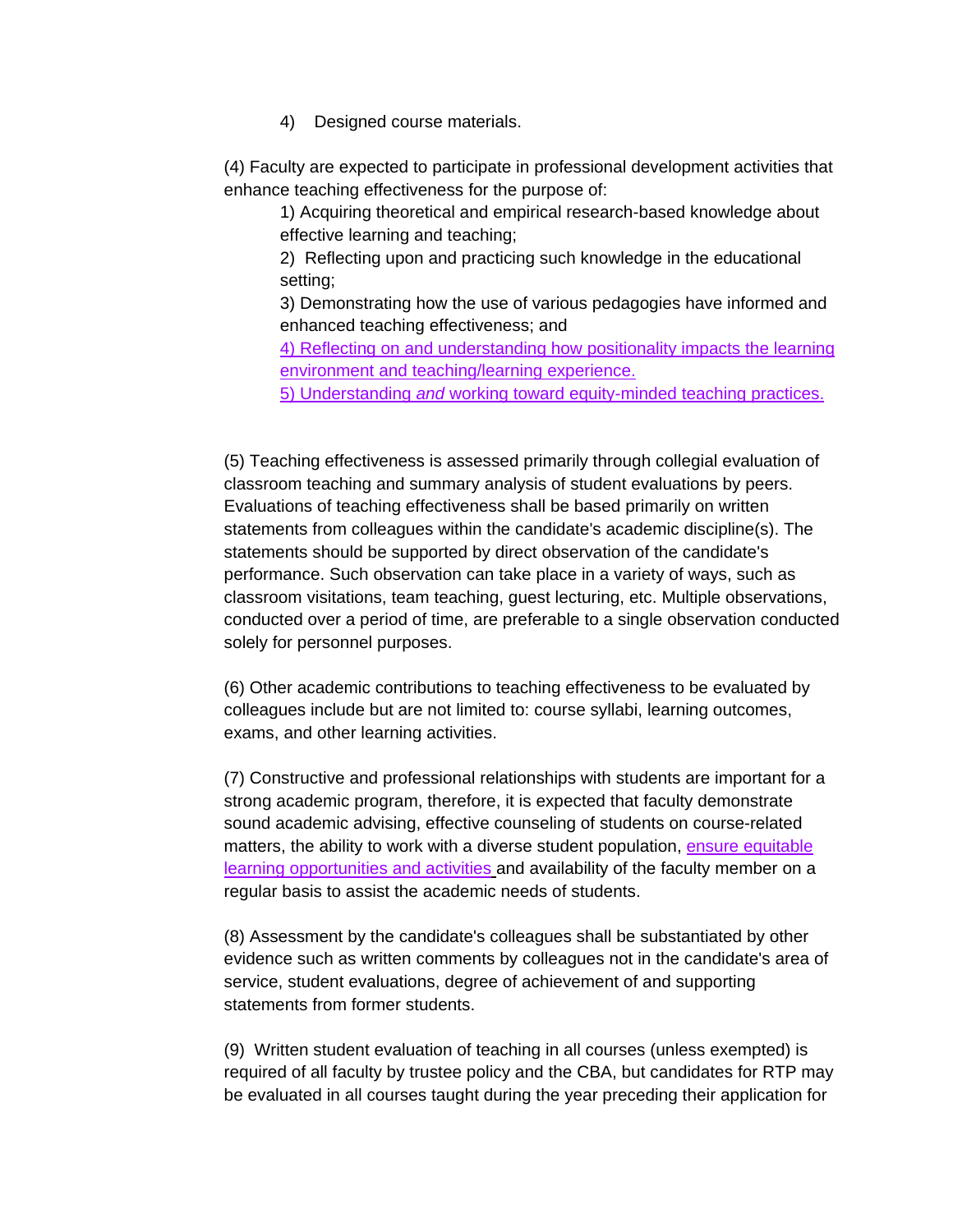4) Designed course materials.

(4) Faculty are expected to participate in professional development activities that enhance teaching effectiveness for the purpose of:

1) Acquiring theoretical and empirical research-based knowledge about effective learning and teaching;

2) Reflecting upon and practicing such knowledge in the educational setting;

3) Demonstrating how the use of various pedagogies have informed and enhanced teaching effectiveness; and

4) Reflecting on and understanding how positionality impacts the learning environment and teaching/learning experience.

5) Understanding *and* working toward equity-minded teaching practices.

(5) Teaching effectiveness is assessed primarily through collegial evaluation of classroom teaching and summary analysis of student evaluations by peers. Evaluations of teaching effectiveness shall be based primarily on written statements from colleagues within the candidate's academic discipline(s). The statements should be supported by direct observation of the candidate's performance. Such observation can take place in a variety of ways, such as classroom visitations, team teaching, guest lecturing, etc. Multiple observations, conducted over a period of time, are preferable to a single observation conducted solely for personnel purposes.

(6) Other academic contributions to teaching effectiveness to be evaluated by colleagues include but are not limited to: course syllabi, learning outcomes, exams, and other learning activities.

(7) Constructive and professional relationships with students are important for a strong academic program, therefore, it is expected that faculty demonstrate sound academic advising, effective counseling of students on course-related matters, the ability to work with a diverse student population, ensure equitable learning opportunities and activities and availability of the faculty member on a regular basis to assist the academic needs of students.

(8) Assessment by the candidate's colleagues shall be substantiated by other evidence such as written comments by colleagues not in the candidate's area of service, student evaluations, degree of achievement of and supporting statements from former students.

(9) Written student evaluation of teaching in all courses (unless exempted) is required of all faculty by trustee policy and the CBA, but candidates for RTP may be evaluated in all courses taught during the year preceding their application for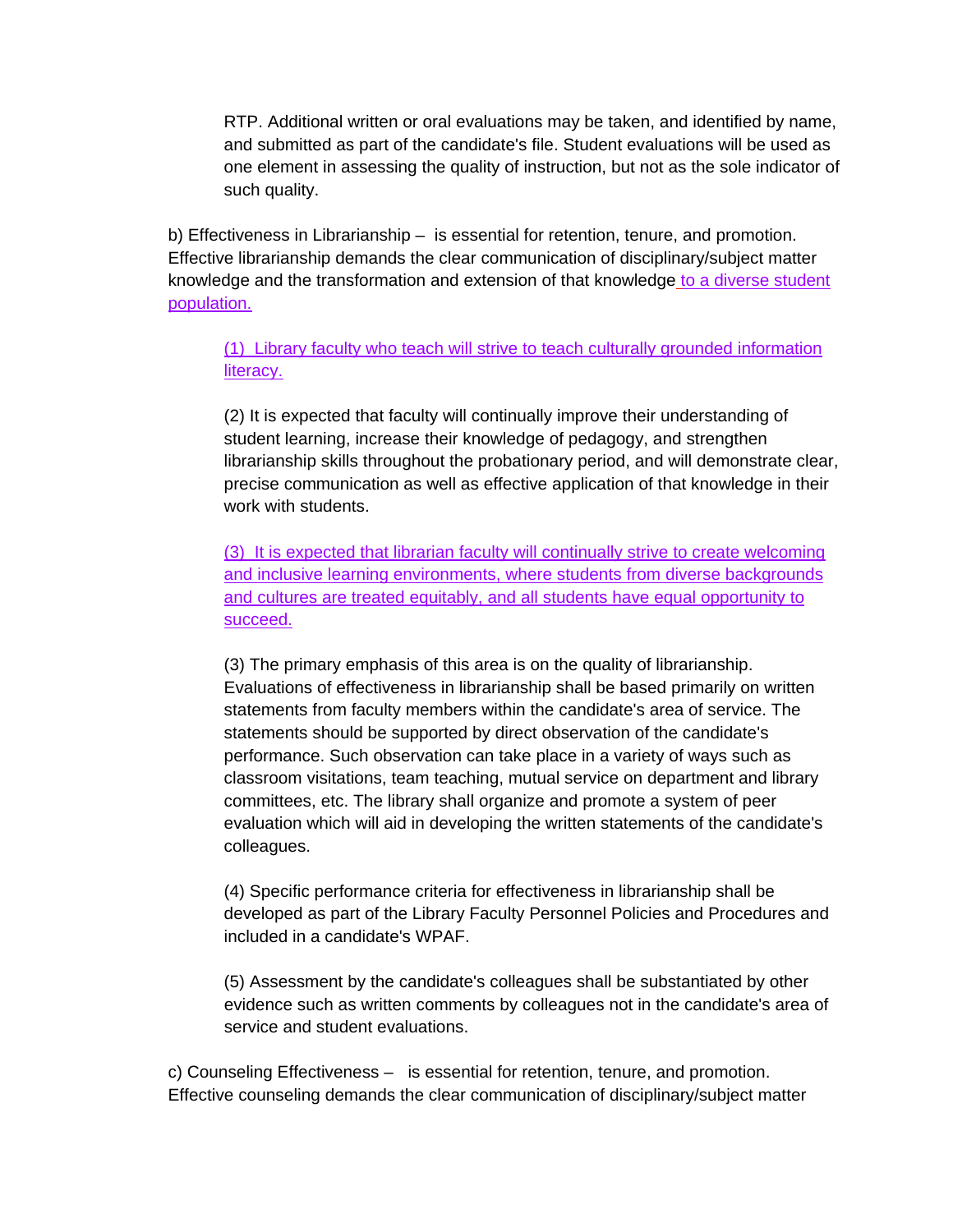RTP. Additional written or oral evaluations may be taken, and identified by name, and submitted as part of the candidate's file. Student evaluations will be used as one element in assessing the quality of instruction, but not as the sole indicator of such quality.

b) Effectiveness in Librarianship – is essential for retention, tenure, and promotion. Effective librarianship demands the clear communication of disciplinary/subject matter knowledge and the transformation and extension of that knowledge to a diverse student population.

(1) Library faculty who teach will strive to teach culturally grounded information literacy.

(2) It is expected that faculty will continually improve their understanding of student learning, increase their knowledge of pedagogy, and strengthen librarianship skills throughout the probationary period, and will demonstrate clear, precise communication as well as effective application of that knowledge in their work with students.

(3) It is expected that librarian faculty will continually strive to create welcoming and inclusive learning environments, where students from diverse backgrounds and cultures are treated equitably, and all students have equal opportunity to succeed.

(3) The primary emphasis of this area is on the quality of librarianship. Evaluations of effectiveness in librarianship shall be based primarily on written statements from faculty members within the candidate's area of service. The statements should be supported by direct observation of the candidate's performance. Such observation can take place in a variety of ways such as classroom visitations, team teaching, mutual service on department and library committees, etc. The library shall organize and promote a system of peer evaluation which will aid in developing the written statements of the candidate's colleagues.

(4) Specific performance criteria for effectiveness in librarianship shall be developed as part of the Library Faculty Personnel Policies and Procedures and included in a candidate's WPAF.

(5) Assessment by the candidate's colleagues shall be substantiated by other evidence such as written comments by colleagues not in the candidate's area of service and student evaluations.

c) Counseling Effectiveness – is essential for retention, tenure, and promotion. Effective counseling demands the clear communication of disciplinary/subject matter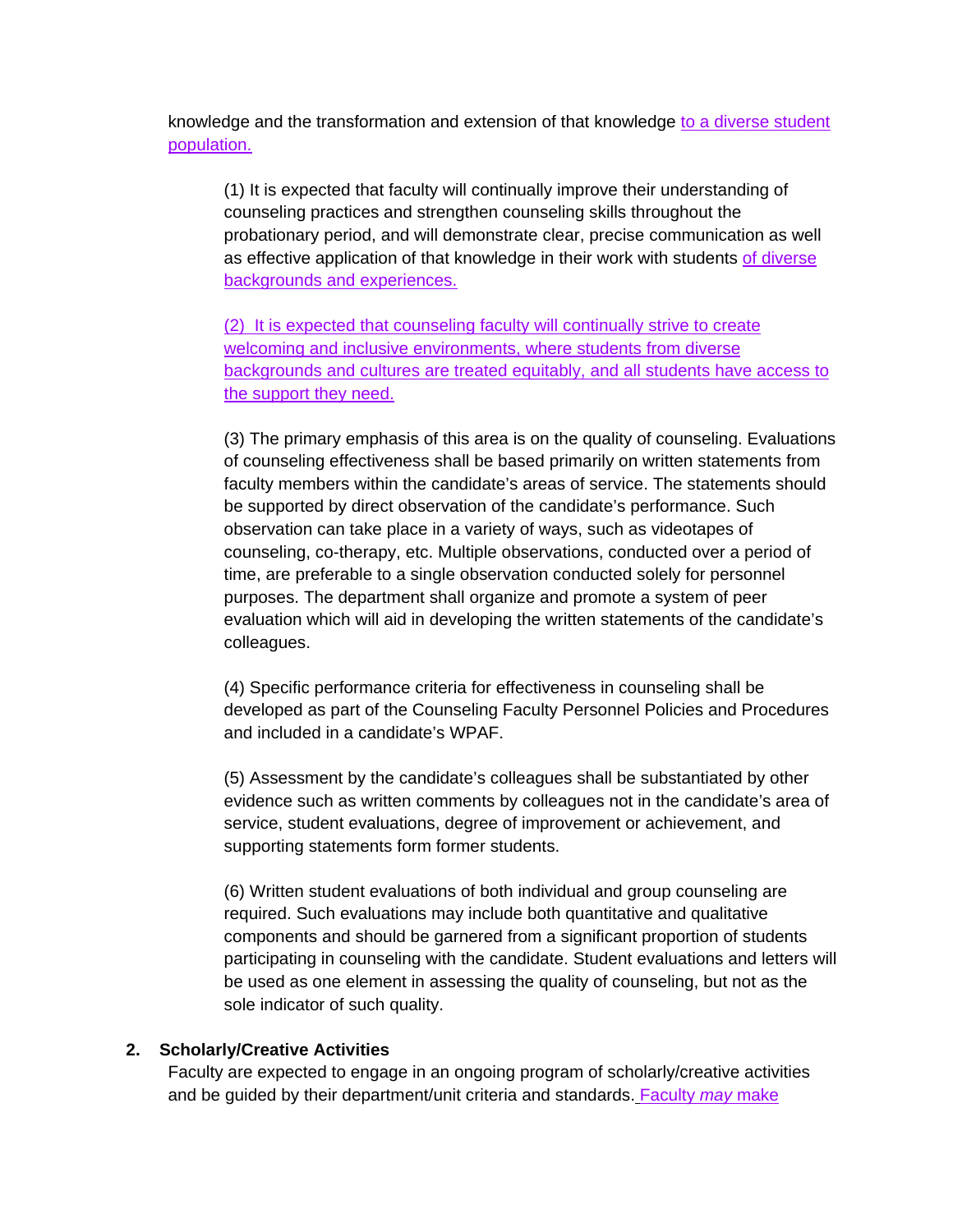knowledge and the transformation and extension of that knowledge to a diverse student population.

(1) It is expected that faculty will continually improve their understanding of counseling practices and strengthen counseling skills throughout the probationary period, and will demonstrate clear, precise communication as well as effective application of that knowledge in their work with students of diverse backgrounds and experiences.

(2) It is expected that counseling faculty will continually strive to create welcoming and inclusive environments, where students from diverse backgrounds and cultures are treated equitably, and all students have access to the support they need.

(3) The primary emphasis of this area is on the quality of counseling. Evaluations of counseling effectiveness shall be based primarily on written statements from faculty members within the candidate's areas of service. The statements should be supported by direct observation of the candidate's performance. Such observation can take place in a variety of ways, such as videotapes of counseling, co-therapy, etc. Multiple observations, conducted over a period of time, are preferable to a single observation conducted solely for personnel purposes. The department shall organize and promote a system of peer evaluation which will aid in developing the written statements of the candidate's colleagues.

(4) Specific performance criteria for effectiveness in counseling shall be developed as part of the Counseling Faculty Personnel Policies and Procedures and included in a candidate's WPAF.

(5) Assessment by the candidate's colleagues shall be substantiated by other evidence such as written comments by colleagues not in the candidate's area of service, student evaluations, degree of improvement or achievement, and supporting statements form former students.

(6) Written student evaluations of both individual and group counseling are required. Such evaluations may include both quantitative and qualitative components and should be garnered from a significant proportion of students participating in counseling with the candidate. Student evaluations and letters will be used as one element in assessing the quality of counseling, but not as the sole indicator of such quality.

## **2. Scholarly/Creative Activities**

Faculty are expected to engage in an ongoing program of scholarly/creative activities and be guided by their department/unit criteria and standards. Faculty *may* make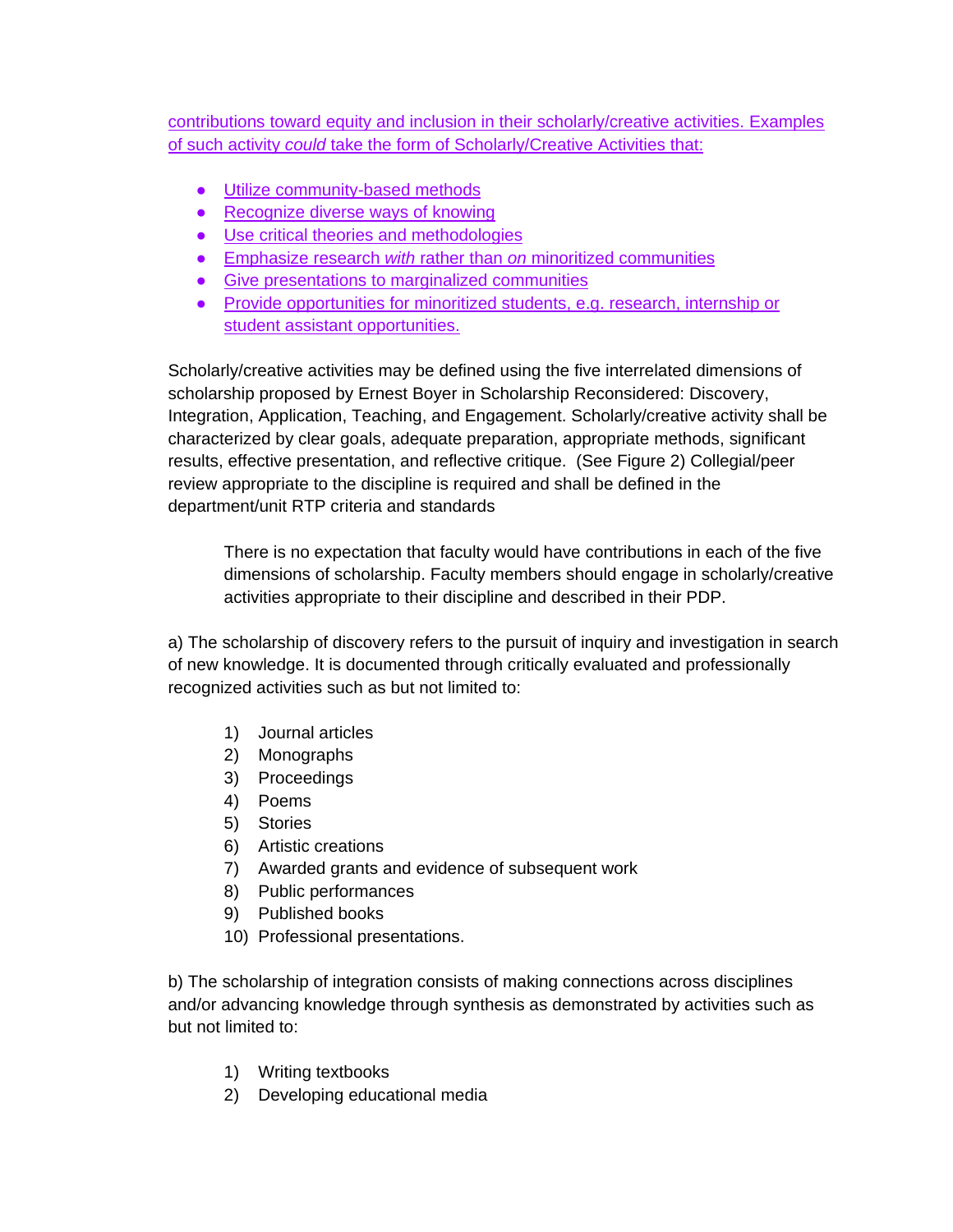contributions toward equity and inclusion in their scholarly/creative activities. Examples of such activity *could* take the form of Scholarly/Creative Activities that:

- Utilize community-based methods
- Recognize diverse ways of knowing
- Use critical theories and methodologies
- Emphasize research *with* rather than *on* minoritized communities
- Give presentations to marginalized communities
- Provide opportunities for minoritized students, e.g. research, internship or student assistant opportunities.

Scholarly/creative activities may be defined using the five interrelated dimensions of scholarship proposed by Ernest Boyer in Scholarship Reconsidered: Discovery, Integration, Application, Teaching, and Engagement. Scholarly/creative activity shall be characterized by clear goals, adequate preparation, appropriate methods, significant results, effective presentation, and reflective critique. (See Figure 2) Collegial/peer review appropriate to the discipline is required and shall be defined in the department/unit RTP criteria and standards

There is no expectation that faculty would have contributions in each of the five dimensions of scholarship. Faculty members should engage in scholarly/creative activities appropriate to their discipline and described in their PDP.

a) The scholarship of discovery refers to the pursuit of inquiry and investigation in search of new knowledge. It is documented through critically evaluated and professionally recognized activities such as but not limited to:

- 1) Journal articles
- 2) Monographs
- 3) Proceedings
- 4) Poems
- 5) Stories
- 6) Artistic creations
- 7) Awarded grants and evidence of subsequent work
- 8) Public performances
- 9) Published books
- 10) Professional presentations.

b) The scholarship of integration consists of making connections across disciplines and/or advancing knowledge through synthesis as demonstrated by activities such as but not limited to:

- 1) Writing textbooks
- 2) Developing educational media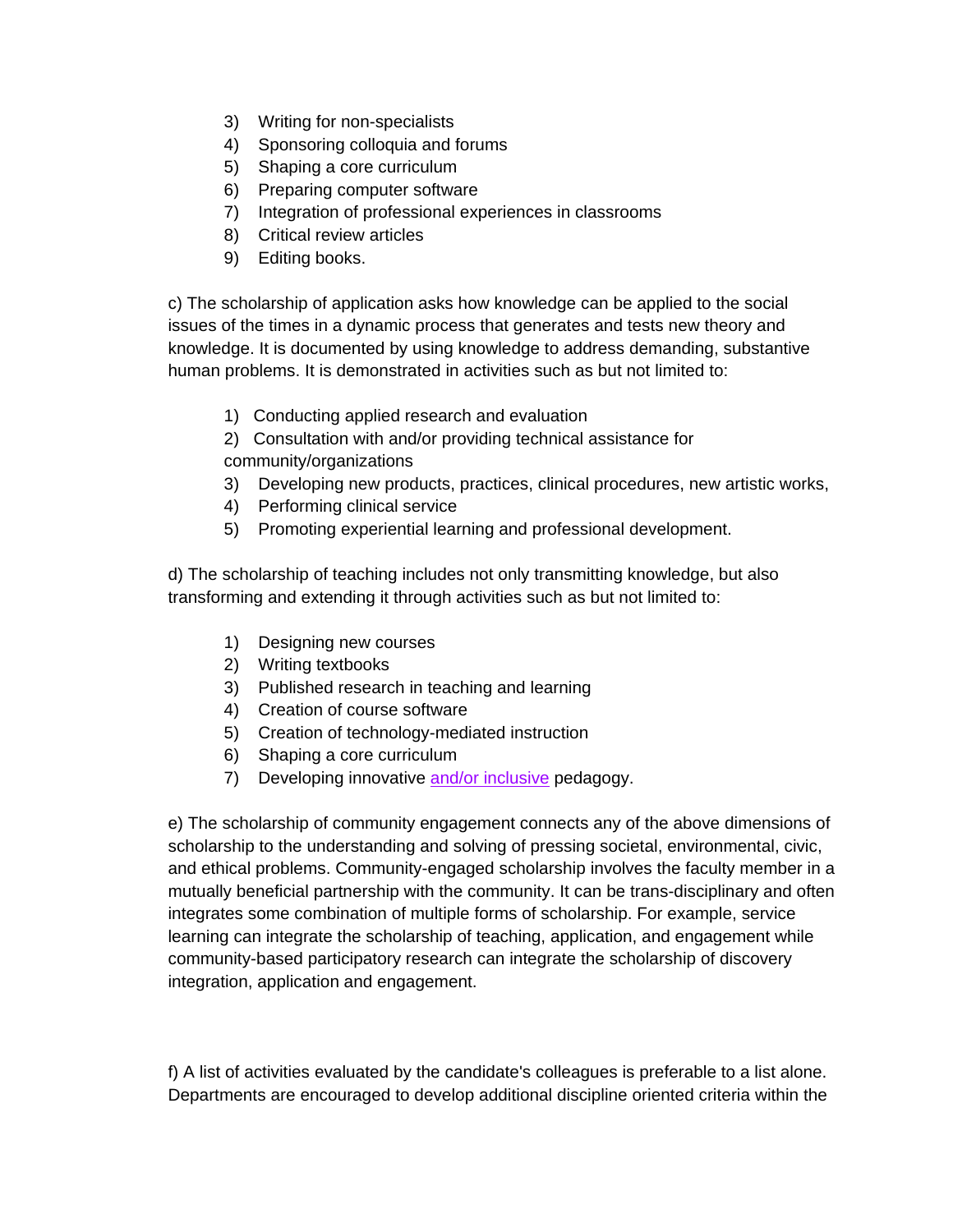- 3) Writing for non-specialists
- 4) Sponsoring colloquia and forums
- 5) Shaping a core curriculum
- 6) Preparing computer software
- 7) Integration of professional experiences in classrooms
- 8) Critical review articles
- 9) Editing books.

c) The scholarship of application asks how knowledge can be applied to the social issues of the times in a dynamic process that generates and tests new theory and knowledge. It is documented by using knowledge to address demanding, substantive human problems. It is demonstrated in activities such as but not limited to:

1) Conducting applied research and evaluation

2) Consultation with and/or providing technical assistance for community/organizations

- 3) Developing new products, practices, clinical procedures, new artistic works,
- 4) Performing clinical service
- 5) Promoting experiential learning and professional development.

d) The scholarship of teaching includes not only transmitting knowledge, but also transforming and extending it through activities such as but not limited to:

- 1) Designing new courses
- 2) Writing textbooks
- 3) Published research in teaching and learning
- 4) Creation of course software
- 5) Creation of technology-mediated instruction
- 6) Shaping a core curriculum
- 7) Developing innovative and/or inclusive pedagogy.

e) The scholarship of community engagement connects any of the above dimensions of scholarship to the understanding and solving of pressing societal, environmental, civic, and ethical problems. Community-engaged scholarship involves the faculty member in a mutually beneficial partnership with the community. It can be trans-disciplinary and often integrates some combination of multiple forms of scholarship. For example, service learning can integrate the scholarship of teaching, application, and engagement while community-based participatory research can integrate the scholarship of discovery integration, application and engagement.

f) A list of activities evaluated by the candidate's colleagues is preferable to a list alone. Departments are encouraged to develop additional discipline oriented criteria within the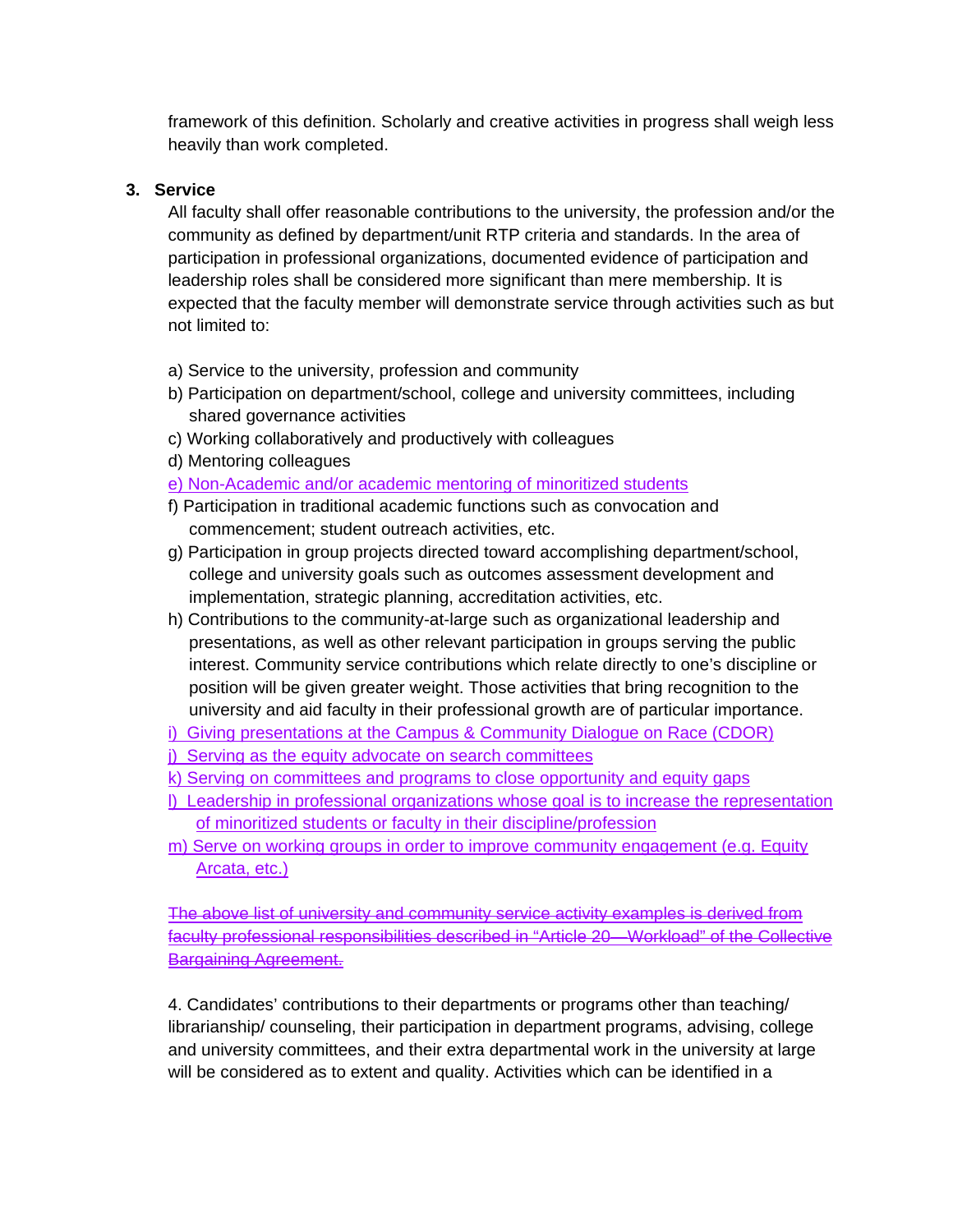framework of this definition. Scholarly and creative activities in progress shall weigh less heavily than work completed.

## **3. Service**

All faculty shall offer reasonable contributions to the university, the profession and/or the community as defined by department/unit RTP criteria and standards. In the area of participation in professional organizations, documented evidence of participation and leadership roles shall be considered more significant than mere membership. It is expected that the faculty member will demonstrate service through activities such as but not limited to:

- a) Service to the university, profession and community
- b) Participation on department/school, college and university committees, including shared governance activities
- c) Working collaboratively and productively with colleagues
- d) Mentoring colleagues
- e) Non-Academic and/or academic mentoring of minoritized students
- f) Participation in traditional academic functions such as convocation and commencement; student outreach activities, etc.
- g) Participation in group projects directed toward accomplishing department/school, college and university goals such as outcomes assessment development and implementation, strategic planning, accreditation activities, etc.
- h) Contributions to the community-at-large such as organizational leadership and presentations, as well as other relevant participation in groups serving the public interest. Community service contributions which relate directly to one's discipline or position will be given greater weight. Those activities that bring recognition to the university and aid faculty in their professional growth are of particular importance.
- i) Giving presentations at the Campus & Community Dialogue on Race (CDOR)
- j) Serving as the equity advocate on search committees
- k) Serving on committees and programs to close opportunity and equity gaps
- l) Leadership in professional organizations whose goal is to increase the representation of minoritized students or faculty in their discipline/profession
- m) Serve on working groups in order to improve community engagement (e.g. Equity Arcata, etc.)

The above list of university and community service activity examples is derived from faculty professional responsibilities described in "Article 20—Workload" of the Collective Bargaining Agreement.

4. Candidates' contributions to their departments or programs other than teaching/ librarianship/ counseling, their participation in department programs, advising, college and university committees, and their extra departmental work in the university at large will be considered as to extent and quality. Activities which can be identified in a